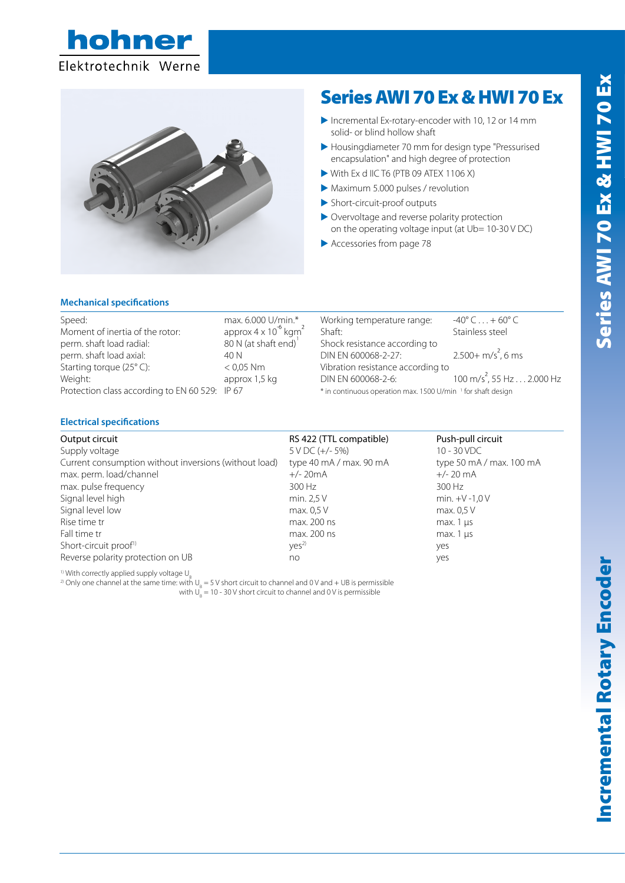



# Series AWI 70 Ex & HWI 70 Ex

- E Incremental Ex-rotary-encoder with 10, 12 or 14 mm solid- or blind hollow shaft
- E Housingdiameter 70 mm for design type "Pressurised encapsulation" and high degree of protection
- $\triangleright$  With Ex d IIC T6 (PTB 09 ATEX 1106 X)
- E Maximum 5.000 pulses / revolution
- E Short-circuit-proof outputs
- E Overvoltage and reverse polarity protection on the operating voltage input (at Ub= 10-30 V DC)
- $\blacktriangleright$  Accessories from page 78

#### **Mechanical specifications**

| Speed:<br>Moment of inertia of the rotor:      | max. 6.000 U/min.*<br>approx $4 \times 10^{-6}$ kgm <sup>2</sup> | Working temperature range:<br>Shaft <sup>.</sup>                        | $-40^{\circ}$ C $ + 60^{\circ}$<br>Stainless steel |
|------------------------------------------------|------------------------------------------------------------------|-------------------------------------------------------------------------|----------------------------------------------------|
| perm. shaft load radial:                       | 80 N (at shaft end)                                              | Shock resistance according to                                           |                                                    |
| perm. shaft load axial:                        | 40 N                                                             | DIN EN 600068-2-27:                                                     | $2.500 + m/s^2$ , 6                                |
| Starting torque (25°C):                        | $< 0.05$ Nm                                                      | Vibration resistance according to                                       |                                                    |
| Weight:                                        | approx 1,5 kg                                                    | DIN EN 600068-2-6:                                                      | 100 m/s <sup>2</sup> , 55 Hz                       |
| Protection class according to EN 60 529: IP 67 |                                                                  | * in continuous operation max. 1500 U/min <sup>1</sup> for shaft design |                                                    |

#### U/min.\* Working temperature range:  $-40^{\circ}$  C ...  $+60^{\circ}$  C 2 Shaft: Stainless steel Shock resistance according to DIN EN 600068-2-27:  $2^{2}$ , 6 ms Vibration resistance according to kg DIN EN 600068-2-6:  $^{2}$ , 55 Hz  $\dots$  2.000 Hz

## **Electrical specifications**

Output circuit RS 422 (TTL compatible) Push-pull circuit Supply voltage 10 - 30 VDC (+/- 5%) 10 - 30 VDC Current consumption without inversions (without load) type 40 mA / max. 90 mA type 50 mA / max. 100 mA max. perm. load/channel +/- 20mA +/- 20 mA max. pulse frequency and the state of the 300 Hz 300 Hz 300 Hz Signal level high min. 2,5 V min. 2,5 V min. +V -1,0 V Signal level low max. 0,5 V max. 0,5 V max. 0,5 V max. 0,5 V Rise time tr max. 200 ns max. 200 ns max. 200 ns max. 1 μs Fall time tr max. 1 μs max. 200 ns max. 200 ns max. 1 μs max. 1 μs Short-circuit proof<sup>1)</sup> yes<sup>2)</sup>  $yes<sup>2</sup>$  yes Reverse polarity protection on UB and yes are no yes

<sup>1)</sup> With correctly applied supply voltage  $U_{\rm B}$ 

The concerty applied supply voltage  $\sigma_{B}$ <br>a) Only one channel at the same time: with U<sub>n</sub> = 5 V short circuit to channel and 0 V and + UB is permissible with  $U_B = 10 - 30 V$  short circuit to channel and 0 V is permissible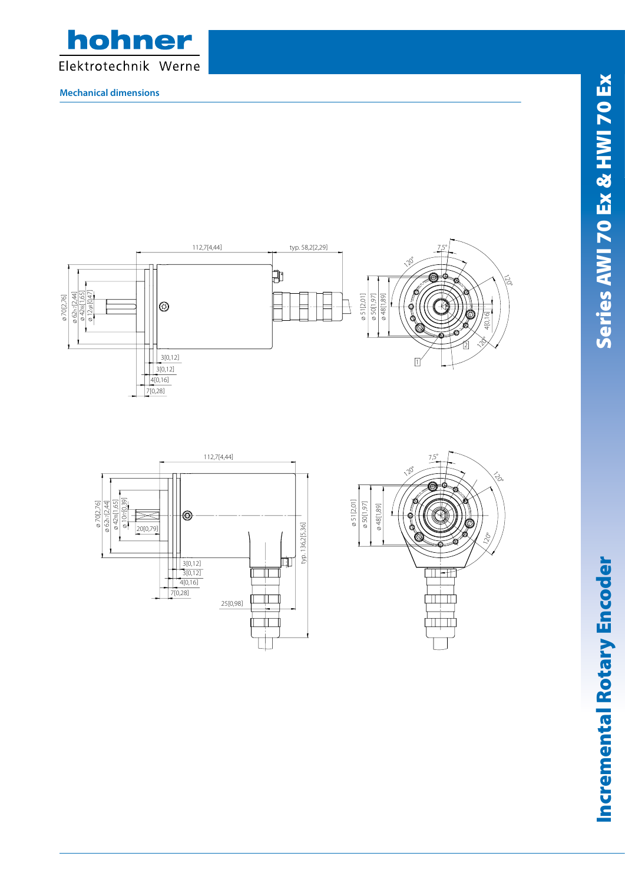

**Mechanical dimensions**







39Incremental Rotary Encoder Series AWI 70 Ex & HWI 70 Ex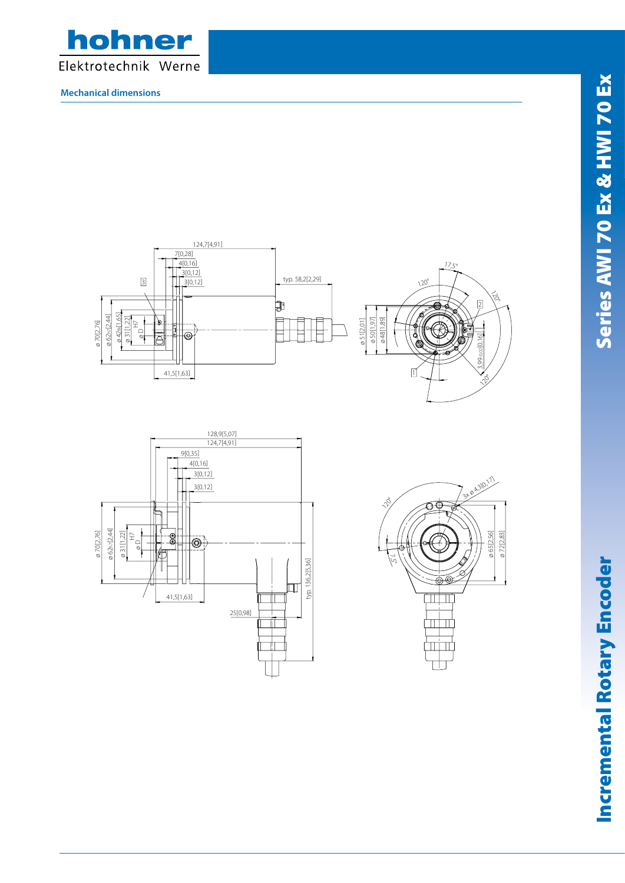

**Mechanical dimensions**